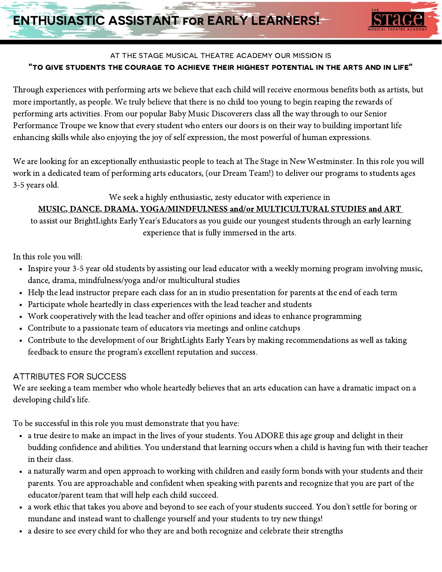

## at the stage musical theatre academy our mission is "to give students the courage to achieve their highest potential in the arts and in life"

Through experiences with performing arts we believe that each child will receive enormous benefits both as artists, but more importantly, as people. We truly believe that there is no child too young to begin reaping the rewards of performing arts activities. From our popular Baby Music Discoverers class all the way through to our Senior Performance Troupe we know that every student who enters our doors is on their way to building important life enhancing skills while also enjoying the joy of self expression, the most powerful of human expressions.

We are looking for an exceptionally enthusiastic people to teach at The Stage in New Westminster. In this role you will work in a dedicated team of performing arts educators, (our Dream Team!) to deliver our programs to students ages 3-5 years old.

#### We seek a highly enthusiastic, zesty educator with experience in

## MUSIC, DANCE, DRAMA, YOGA/MINDFULNESS and/or MULTICULTURAL STUDIES and ART

to assist our BrightLights Early Year's Educators as you guide our youngest students through an early learning experience that is fully immersed in the arts.

In this role you will:

- Inspire your 3-5 year old students by assisting our lead educator with a weekly morning program involving music, dance, drama, mindfulness/yoga and/or multicultural studies
- Help the lead instructor prepare each class for an in studio presentation for parents at the end of each term
- Participate whole heartedly in class experiences with the lead teacher and students
- Work cooperatively with the lead teacher and offer opinions and ideas to enhance programming
- Contribute to a passionate team of educators via meetings and online catchups
- Contribute to the development of our BrightLights Early Years by making recommendations as well as taking feedback to ensure the program's excellent reputation and success.

# ATTRIBUTES FOR SUCCESS

We are seeking a team member who whole heartedly believes that an arts education can have a dramatic impact on a developing child's life.

To be successful in this role you must demonstrate that you have:

- a true desire to make an impact in the lives of your students. You ADORE this age group and delight in their budding confidence and abilities. You understand that learning occurs when a child is having fun with their teacher in their class.
- a naturally warm and open approach to working with children and easily form bonds with your students and their  $\bullet$ parents. You are approachable and confident when speaking with parents and recognize that you are part of the educator/parent team that will help each child succeed.
- a work ethic that takes you above and beyond to see each of your students succeed. You don't settle for boring or mundane and instead want to challenge yourself and your students to try new things!
- a desire to see every child for who they are and both recognize and celebrate their strengths  $\bullet$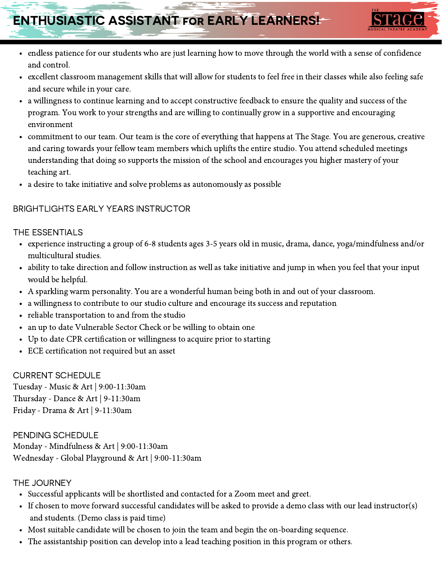# ENTHUSIASTIC ASSISTANT for EARLY LEARNERS!



- endless patience for our students who are just learning how to move through the world with a sense of confidence and control.
- excellent classroom management skills that will allow for students to feel free in their classes while also feeling safe and secure while in your care.
- a willingness to continue learning and to accept constructive feedback to ensure the quality and success of the program. You work to your strengths and are willing to continually grow in a supportive and encouraging environment
- commitment to our team. Our team is the core of everything that happens at The Stage. You are generous, creative and caring towards your fellow team members which uplifts the entire studio. You attend scheduled meetings understanding that doing so supports the mission of the school and encourages you higher mastery of your teaching art.
- a desire to take initiative and solve problems as autonomously as possible

#### BRIGHTLIGHTS EARLY YEARS INSTRUCTOR

#### THE ESSENTIALS

- experience instructing a group of 6-8 students ages 3-5 years old in music, drama, dance, yoga/mindfulness and/or multicultural studies.
- ability to take direction and follow instruction as well as take initiative and jump in when you feel that your input  $\bullet$ would be helpful.
- A sparkling warm personality. You are a wonderful human being both in and out of your classroom.
- a willingness to contribute to our studio culture and encourage its success and reputation
- reliable transportation to and from the studio
- an up to date Vulnerable Sector Check or be willing to obtain one
- Up to date CPR certification or willingness to acquire prior to starting  $\bullet$
- ECE certification not required but an asset

#### CURRENT SCHEDULE

Tuesday - Music & Art | 9:00-11:30am Thursday - Dance & Art | 9-11:30am Friday - Drama & Art | 9-11:30am

PENDING SCHEDULE Monday - Mindfulness & Art | 9:00-11:30am Wednesday - Global Playground & Art | 9:00-11:30am

#### THE JOURNEY

- Successful applicants will be shortlisted and contacted for a Zoom meet and greet.
- If chosen to move forward successful candidates will be asked to provide a demo class with our lead instructor(s) and students. (Demo class is paid time)
- Most suitable candidate will be chosen to join the team and begin the on-boarding sequence.
- The assistantship position can develop into a lead teaching position in this program or others.